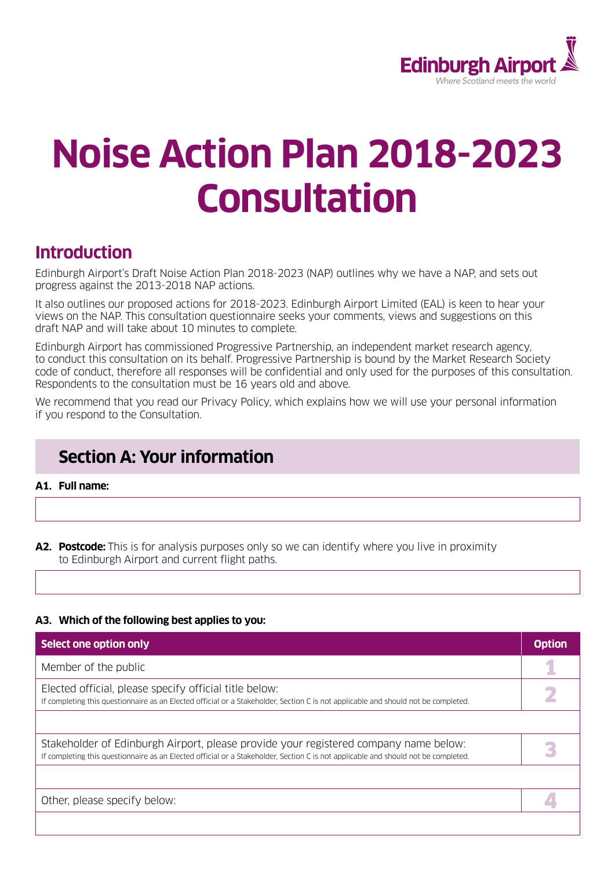

# **Noise Action Plan 2018-2023 Consultation**

# **Introduction**

Edinburgh Airport's Draft Noise Action Plan 2018-2023 (NAP) outlines why we have a NAP, and sets out progress against the 2013-2018 NAP actions.

It also outlines our proposed actions for 2018-2023. Edinburgh Airport Limited (EAL) is keen to hear your views on the NAP. This consultation questionnaire seeks your comments, views and suggestions on this draft NAP and will take about 10 minutes to complete.

Edinburgh Airport has commissioned Progressive Partnership, an independent market research agency, to conduct this consultation on its behalf. Progressive Partnership is bound by the Market Research Society code of conduct, therefore all responses will be confidential and only used for the purposes of this consultation. Respondents to the consultation must be 16 years old and above.

We recommend that you read our Privacy Policy, which explains how we will use your personal information if you respond to the Consultation.

# **Section A: Your information**

**A1. Full name:**

**A2. Postcode:** This is for analysis purposes only so we can identify where you live in proximity to Edinburgh Airport and current flight paths.

#### **A3. Which of the following best applies to you:**

| Select one option only                                                                                                                                                                                                     | <b>Option</b> |
|----------------------------------------------------------------------------------------------------------------------------------------------------------------------------------------------------------------------------|---------------|
| Member of the public                                                                                                                                                                                                       |               |
| Elected official, please specify official title below:<br>If completing this questionnaire as an Elected official or a Stakeholder, Section C is not applicable and should not be completed.                               |               |
|                                                                                                                                                                                                                            |               |
| Stakeholder of Edinburgh Airport, please provide your registered company name below:<br>If completing this questionnaire as an Elected official or a Stakeholder, Section C is not applicable and should not be completed. |               |
|                                                                                                                                                                                                                            |               |
| Other, please specify below:                                                                                                                                                                                               |               |
|                                                                                                                                                                                                                            |               |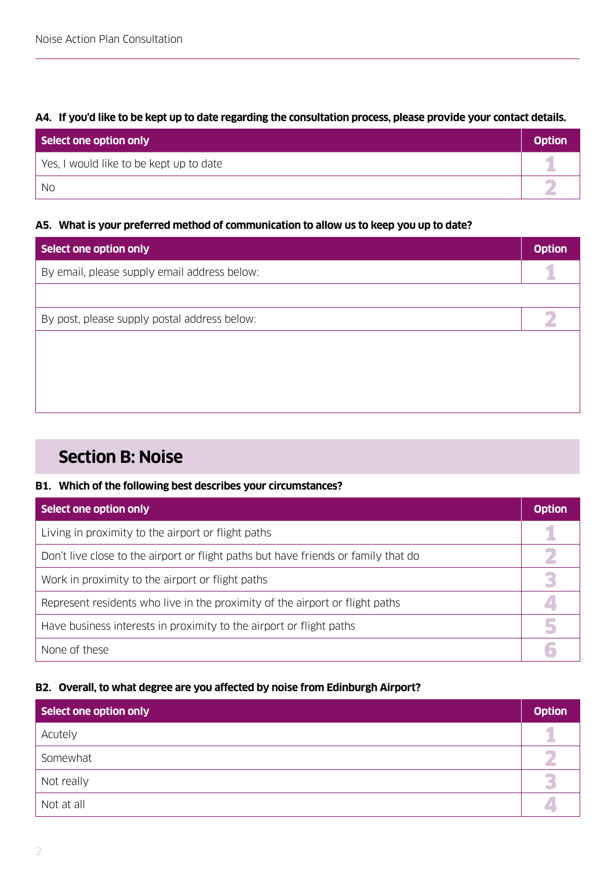# **A4. If you'd like to be kept up to date regarding the consultation process, please provide your contact details.**

| Select one option only                  | <b>Option</b> |
|-----------------------------------------|---------------|
| Yes, I would like to be kept up to date |               |
| No                                      |               |

## **A5. What is your preferred method of communication to allow us to keep you up to date?**

| Select one option only                       | <b>Option</b> |
|----------------------------------------------|---------------|
| By email, please supply email address below: |               |
|                                              |               |
| By post, please supply postal address below: |               |
|                                              |               |
|                                              |               |
|                                              |               |
|                                              |               |

# **Section B: Noise**

#### **B1. Which of the following best describes your circumstances?**

| Select one option only                                                             | <b>Option</b> |
|------------------------------------------------------------------------------------|---------------|
| Living in proximity to the airport or flight paths                                 |               |
| Don't live close to the airport or flight paths but have friends or family that do |               |
| Work in proximity to the airport or flight paths                                   |               |
| Represent residents who live in the proximity of the airport or flight paths       |               |
| Have business interests in proximity to the airport or flight paths                |               |
| None of these                                                                      |               |

# **B2. Overall, to what degree are you affected by noise from Edinburgh Airport?**

| Select one option only | <b>Option</b> |
|------------------------|---------------|
| Acutely                |               |
| Somewhat               |               |
| Not really             |               |
| Not at all             |               |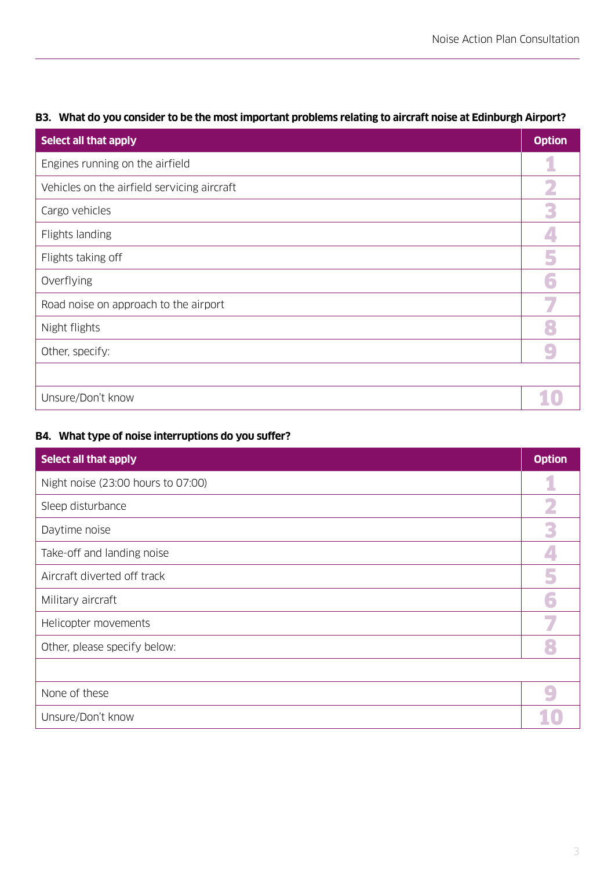| Select all that apply                       | <b>Option</b> |
|---------------------------------------------|---------------|
| Engines running on the airfield             |               |
| Vehicles on the airfield servicing aircraft | 2             |
| Cargo vehicles                              | 3             |
| Flights landing                             |               |
| Flights taking off                          | 5             |
| Overflying                                  |               |
| Road noise on approach to the airport       | 7             |
| Night flights                               |               |
| Other, specify:                             |               |
|                                             |               |
| Unsure/Don't know                           |               |

# **B3. What do you consider to be the most important problems relating to aircraft noise at Edinburgh Airport?**

# **B4. What type of noise interruptions do you suffer?**

| Select all that apply              | <b>Option</b> |
|------------------------------------|---------------|
| Night noise (23:00 hours to 07:00) |               |
| Sleep disturbance                  |               |
| Daytime noise                      | 3             |
| Take-off and landing noise         |               |
| Aircraft diverted off track        |               |
| Military aircraft                  |               |
| Helicopter movements               |               |
| Other, please specify below:       |               |
|                                    |               |
| None of these                      |               |
| Unsure/Don't know                  |               |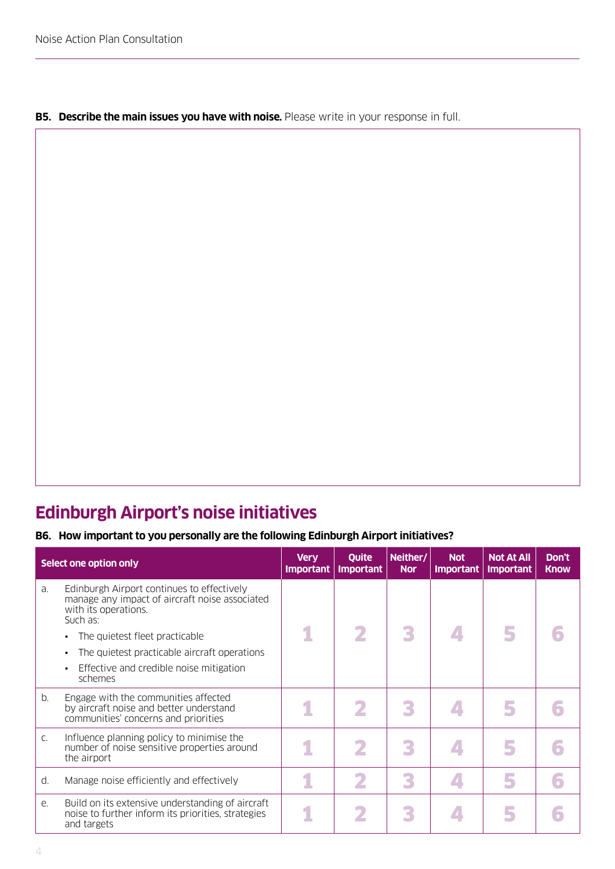#### **B5.** Describe the main issues you have with noise. Please write in your response in full.

# **Edinburgh Airport's noise initiatives**

# **B6. How important to you personally are the following Edinburgh Airport initiatives?**

|    | Select one option only                                                                                                           | <b>Very</b><br><b>Important</b> | Quite<br><b>Important</b> | Neither/<br><b>Nor</b> | <b>Not</b><br><b>Important</b> | <b>Not At All</b><br><b>Important</b> | Don't<br><b>Know</b> |
|----|----------------------------------------------------------------------------------------------------------------------------------|---------------------------------|---------------------------|------------------------|--------------------------------|---------------------------------------|----------------------|
| a. | Edinburgh Airport continues to effectively<br>manage any impact of aircraft noise associated<br>with its operations.<br>Such as: |                                 |                           |                        |                                |                                       |                      |
|    | The quietest fleet practicable                                                                                                   | 1                               | 2                         | 3                      |                                |                                       |                      |
|    | The quietest practicable aircraft operations                                                                                     |                                 |                           |                        |                                |                                       |                      |
|    | Effective and credible noise mitigation<br>schemes                                                                               |                                 |                           |                        |                                |                                       |                      |
| b. | Engage with the communities affected<br>by aircraft noise and better understand<br>communities' concerns and priorities          |                                 | 2                         |                        |                                |                                       |                      |
| C. | Influence planning policy to minimise the<br>number of noise sensitive properties around<br>the airport                          |                                 |                           |                        |                                |                                       |                      |
| d. | Manage noise efficiently and effectively                                                                                         |                                 |                           | R                      |                                |                                       |                      |
| e. | Build on its extensive understanding of aircraft<br>noise to further inform its priorities, strategies<br>and targets            |                                 |                           |                        |                                |                                       |                      |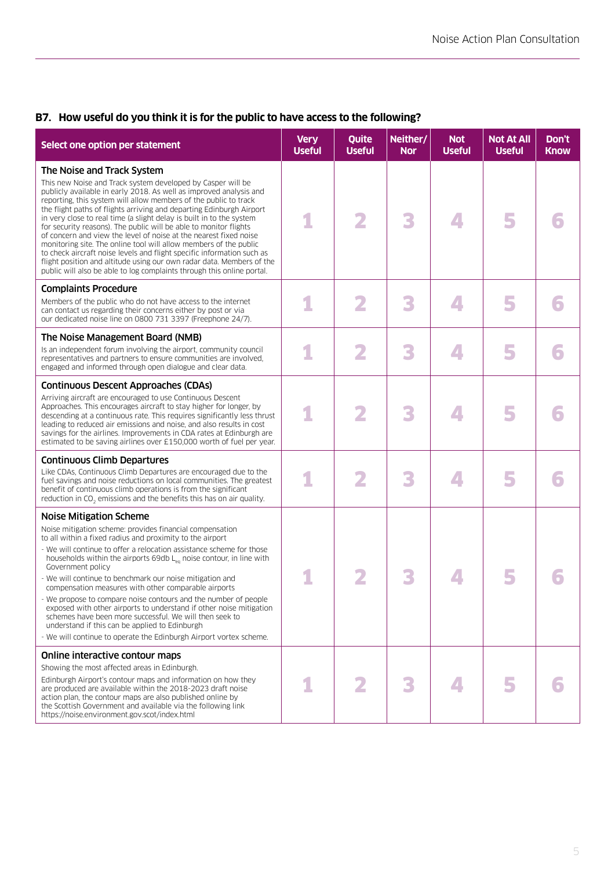# **B7. How useful do you think it is for the public to have access to the following?**

| Select one option per statement                                                                                                                                                                                                                                                                                                                                                                                                                                                                                                                                                                                                                                                                                                                                                                                                 | <b>Very</b><br><b>Useful</b> | Quite<br><b>Useful</b> | Neither/<br><b>Nor</b> | <b>Not</b><br><b>Useful</b> | <b>Not At All</b><br><b>Useful</b> | Don't<br><b>Know</b> |
|---------------------------------------------------------------------------------------------------------------------------------------------------------------------------------------------------------------------------------------------------------------------------------------------------------------------------------------------------------------------------------------------------------------------------------------------------------------------------------------------------------------------------------------------------------------------------------------------------------------------------------------------------------------------------------------------------------------------------------------------------------------------------------------------------------------------------------|------------------------------|------------------------|------------------------|-----------------------------|------------------------------------|----------------------|
| The Noise and Track System<br>This new Noise and Track system developed by Casper will be<br>publicly available in early 2018. As well as improved analysis and<br>reporting, this system will allow members of the public to track<br>the flight paths of flights arriving and departing Edinburgh Airport<br>in very close to real time (a slight delay is built in to the system<br>for security reasons). The public will be able to monitor flights<br>of concern and view the level of noise at the nearest fixed noise<br>monitoring site. The online tool will allow members of the public<br>to check aircraft noise levels and flight specific information such as<br>flight position and altitude using our own radar data. Members of the<br>public will also be able to log complaints through this online portal. |                              | 2                      | 3                      | $\blacktriangle$            | 5                                  |                      |
| <b>Complaints Procedure</b><br>Members of the public who do not have access to the internet<br>can contact us regarding their concerns either by post or via<br>our dedicated noise line on 0800 731 3397 (Freephone 24/7).                                                                                                                                                                                                                                                                                                                                                                                                                                                                                                                                                                                                     |                              | 2                      | 3                      | $\sqrt{2}$                  | 5                                  |                      |
| The Noise Management Board (NMB)<br>Is an independent forum involving the airport, community council<br>representatives and partners to ensure communities are involved.<br>engaged and informed through open dialogue and clear data.                                                                                                                                                                                                                                                                                                                                                                                                                                                                                                                                                                                          |                              | 2                      | 3                      | $\Delta$                    | 5                                  |                      |
| <b>Continuous Descent Approaches (CDAs)</b><br>Arriving aircraft are encouraged to use Continuous Descent<br>Approaches. This encourages aircraft to stay higher for longer, by<br>descending at a continuous rate. This requires significantly less thrust<br>leading to reduced air emissions and noise, and also results in cost<br>savings for the airlines. Improvements in CDA rates at Edinburgh are<br>estimated to be saving airlines over £150,000 worth of fuel per year.                                                                                                                                                                                                                                                                                                                                            |                              |                        | 3                      |                             | 5                                  |                      |
| <b>Continuous Climb Departures</b><br>Like CDAs, Continuous Climb Departures are encouraged due to the<br>fuel savings and noise reductions on local communities. The greatest<br>benefit of continuous climb operations is from the significant<br>reduction in CO <sub>2</sub> emissions and the benefits this has on air quality.                                                                                                                                                                                                                                                                                                                                                                                                                                                                                            |                              | 2                      | 3                      |                             | 5                                  |                      |
| <b>Noise Mitigation Scheme</b><br>Noise mitigation scheme: provides financial compensation<br>to all within a fixed radius and proximity to the airport<br>- We will continue to offer a relocation assistance scheme for those<br>households within the airports 69db L <sub>ea</sub> noise contour, in line with<br>Government policy<br>- We will continue to benchmark our noise mitigation and<br>compensation measures with other comparable airports<br>- We propose to compare noise contours and the number of people<br>exposed with other airports to understand if other noise mitigation<br>schemes have been more successful. We will then seek to<br>understand if this can be applied to Edinburgh<br>- We will continue to operate the Edinburgh Airport vortex scheme.                                        |                              | 2                      |                        |                             |                                    |                      |
| Online interactive contour maps<br>Showing the most affected areas in Edinburgh.<br>Edinburgh Airport's contour maps and information on how they<br>are produced are available within the 2018-2023 draft noise<br>action plan, the contour maps are also published online by<br>the Scottish Government and available via the following link<br>https://noise.environment.gov.scot/index.html                                                                                                                                                                                                                                                                                                                                                                                                                                  |                              |                        |                        |                             | 5                                  |                      |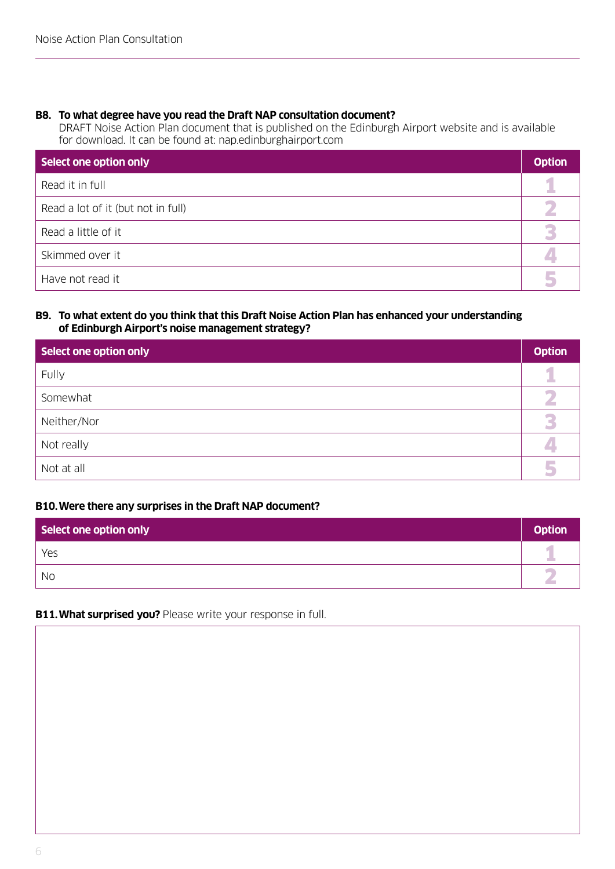## **B8. To what degree have you read the Draft NAP consultation document?**

DRAFT Noise Action Plan document that is published on the Edinburgh Airport website and is available for download. It can be found at: nap.edinburghairport.com

| Select one option only             | <b>Option</b> |
|------------------------------------|---------------|
| Read it in full                    |               |
| Read a lot of it (but not in full) |               |
| Read a little of it                |               |
| Skimmed over it                    |               |
| Have not read it                   |               |

#### **B9. To what extent do you think that this Draft Noise Action Plan has enhanced your understanding of Edinburgh Airport's noise management strategy?**

| Select one option only | <b>Option</b> |
|------------------------|---------------|
| Fully                  |               |
| Somewhat               |               |
| Neither/Nor            |               |
| Not really             |               |
| Not at all             |               |

## **B10.Were there any surprises in the Draft NAP document?**

| Select one option only | <b>Option</b> |
|------------------------|---------------|
| Yes                    |               |
| <b>No</b>              |               |

#### **B11. What surprised you?** Please write your response in full.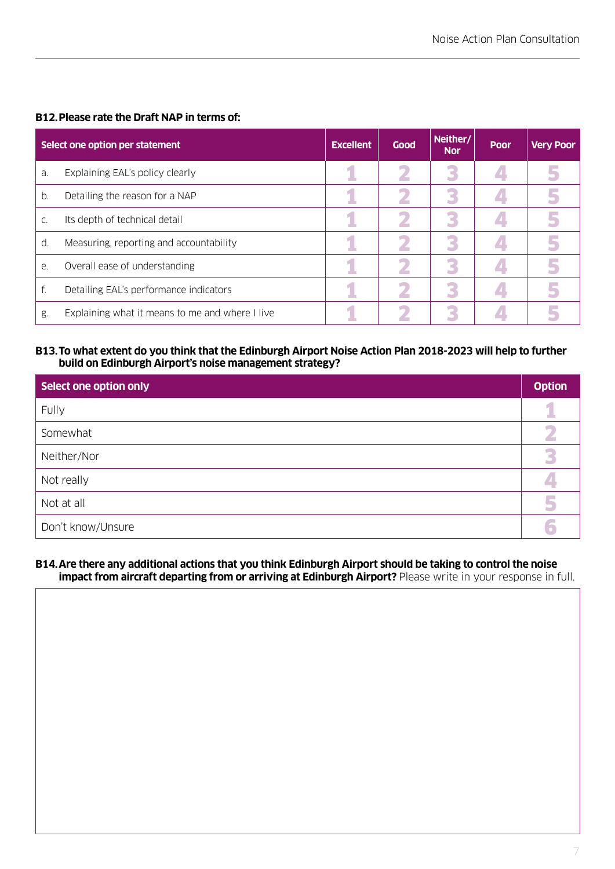## **B12.Please rate the Draft NAP in terms of:**

|    | Select one option per statement                 | <b>Excellent</b> | <b>Good</b> | Neither/<br><b>Nor</b> | Poor | <b>Very Poor</b> |
|----|-------------------------------------------------|------------------|-------------|------------------------|------|------------------|
| a. | Explaining EAL's policy clearly                 |                  |             | к                      |      |                  |
| b. | Detailing the reason for a NAP                  |                  |             |                        |      |                  |
| C. | Its depth of technical detail                   |                  |             |                        |      |                  |
| d. | Measuring, reporting and accountability         |                  |             |                        |      |                  |
| e. | Overall ease of understanding                   |                  |             |                        |      |                  |
| f. | Detailing EAL's performance indicators          |                  |             |                        |      |                  |
| g. | Explaining what it means to me and where I live |                  |             |                        |      |                  |

#### **B13. To what extent do you think that the Edinburgh Airport Noise Action Plan 2018-2023 will help to further build on Edinburgh Airport's noise management strategy?**

| Select one option only | <b>Option</b> |
|------------------------|---------------|
| Fully                  | 1             |
| Somewhat               |               |
| Neither/Nor            | ß             |
| Not really             |               |
| Not at all             | 5             |
| Don't know/Unsure      |               |

#### **B14. Are there any additional actions that you think Edinburgh Airport should be taking to control the noise impact from aircraft departing from or arriving at Edinburgh Airport?** Please write in your response in full.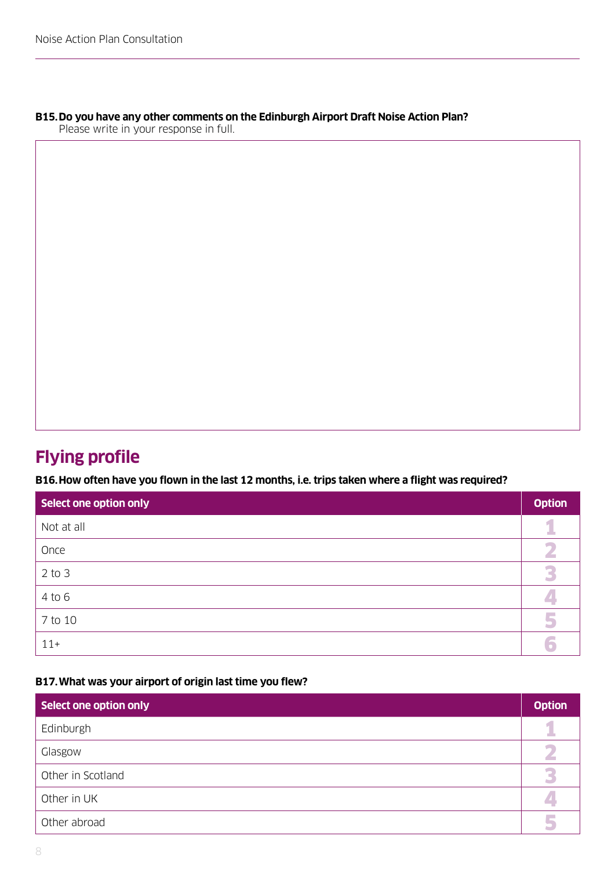# **B15. Do you have any other comments on the Edinburgh Airport Draft Noise Action Plan?**

Please write in your response in full.

# **Flying profile**

**B16.How often have you flown in the last 12 months, i.e. trips taken where a flight was required?**

| Select one option only | <b>Option</b> |
|------------------------|---------------|
| Not at all             |               |
| Once                   |               |
| $2$ to $3$             |               |
| $4$ to $6$             |               |
| 7 to 10                | 5             |
| $11+$                  |               |

#### **B17.What was your airport of origin last time you flew?**

| Select one option only | <b>Option</b> |
|------------------------|---------------|
| Edinburgh              |               |
| Glasgow                |               |
| Other in Scotland      |               |
| Other in UK            |               |
| Other abroad           |               |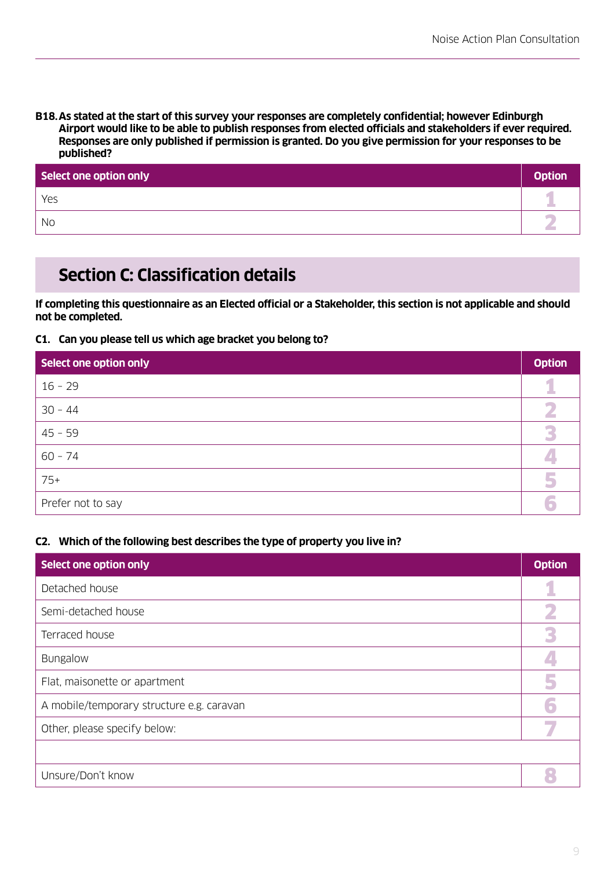**B18. As stated at the start of this survey your responses are completely confidential; however Edinburgh Airport would like to be able to publish responses from elected officials and stakeholders if ever required. Responses are only published if permission is granted. Do you give permission for your responses to be published?**

| Select one option only | <b>Option</b> |
|------------------------|---------------|
| Yes                    |               |
| No                     |               |

# **Section C: Classification details**

**If completing this questionnaire as an Elected official or a Stakeholder, this section is not applicable and should not be completed.**

# **C1. Can you please tell us which age bracket you belong to?**

| Select one option only | <b>Option</b> |
|------------------------|---------------|
| $16 - 29$              |               |
| $30 - 44$              |               |
| $45 - 59$              |               |
| $60 - 74$              |               |
| $75+$                  |               |
| Prefer not to say      |               |

# **C2. Which of the following best describes the type of property you live in?**

| Select one option only                    | <b>Option</b> |
|-------------------------------------------|---------------|
| Detached house                            |               |
| Semi-detached house                       |               |
| Terraced house                            | β             |
| <b>Bungalow</b>                           |               |
| Flat, maisonette or apartment             |               |
| A mobile/temporary structure e.g. caravan |               |
| Other, please specify below:              |               |
|                                           |               |
| Unsure/Don't know                         |               |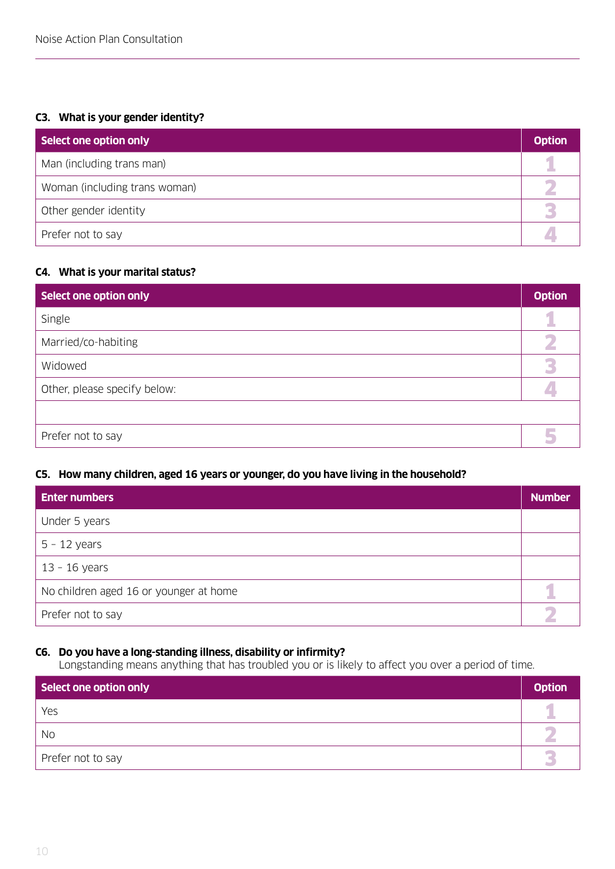# **C3. What is your gender identity?**

| Select one option only        | <b>Option</b> |
|-------------------------------|---------------|
| Man (including trans man)     |               |
| Woman (including trans woman) |               |
| Other gender identity         |               |
| Prefer not to say             |               |

## **C4. What is your marital status?**

| Select one option only       | <b>Option</b> |
|------------------------------|---------------|
| Single                       |               |
| Married/co-habiting          |               |
| Widowed                      |               |
| Other, please specify below: |               |
|                              |               |
| Prefer not to say            |               |

#### **C5. How many children, aged 16 years or younger, do you have living in the household?**

| <b>Enter numbers</b>                   | <b>Number</b> |
|----------------------------------------|---------------|
| Under 5 years                          |               |
| $5 - 12$ years                         |               |
| $13 - 16$ years                        |               |
| No children aged 16 or younger at home |               |
| Prefer not to say                      |               |

## **C6. Do you have a long-standing illness, disability or infirmity?**

Longstanding means anything that has troubled you or is likely to affect you over a period of time.

| Select one option only | <b>Option</b> |
|------------------------|---------------|
| Yes                    |               |
| <b>No</b>              |               |
| Prefer not to say      |               |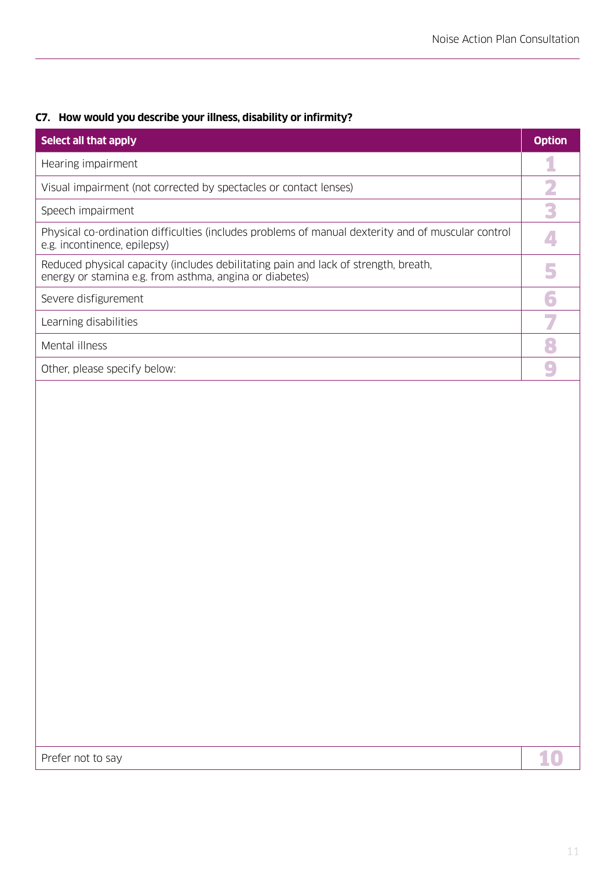# **C7. How would you describe your illness, disability or infirmity?**

| Select all that apply                                                                                                                          | <b>Option</b> |
|------------------------------------------------------------------------------------------------------------------------------------------------|---------------|
| Hearing impairment                                                                                                                             |               |
| Visual impairment (not corrected by spectacles or contact lenses)                                                                              |               |
| Speech impairment                                                                                                                              |               |
| Physical co-ordination difficulties (includes problems of manual dexterity and of muscular control<br>e.g. incontinence, epilepsy)             |               |
| Reduced physical capacity (includes debilitating pain and lack of strength, breath,<br>energy or stamina e.g. from asthma, angina or diabetes) |               |
| Severe disfigurement                                                                                                                           |               |
| Learning disabilities                                                                                                                          |               |
| Mental illness                                                                                                                                 |               |
| Other, please specify below:                                                                                                                   |               |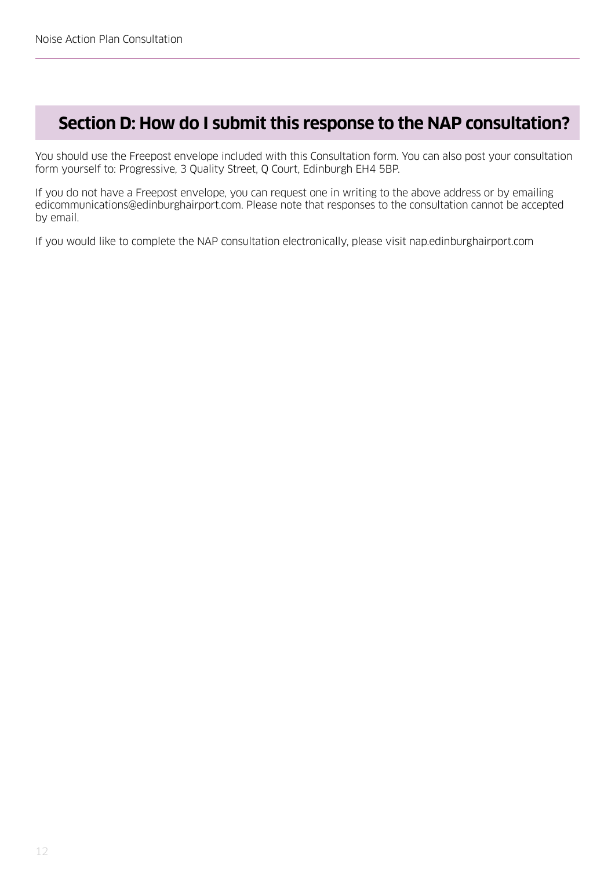# **Section D: How do I submit this response to the NAP consultation?**

You should use the Freepost envelope included with this Consultation form. You can also post your consultation form yourself to: Progressive, 3 Quality Street, Q Court, Edinburgh EH4 5BP.

If you do not have a Freepost envelope, you can request one in writing to the above address or by emailing edicommunications@edinburghairport.com. Please note that responses to the consultation cannot be accepted by email.

If you would like to complete the NAP consultation electronically, please visit nap.edinburghairport.com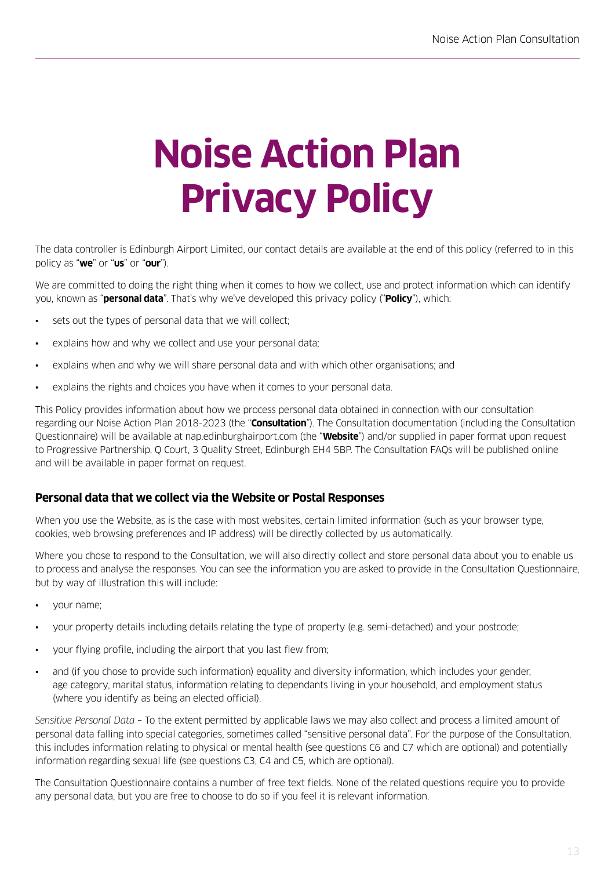# **Noise Action Plan Privacy Policy**

The data controller is Edinburgh Airport Limited, our contact details are available at the end of this policy (referred to in this policy as "**we**" or "**us**" or "**our**").

We are committed to doing the right thing when it comes to how we collect, use and protect information which can identify you, known as "**personal data**". That's why we've developed this privacy policy ("**Policy**"), which:

- sets out the types of personal data that we will collect;
- explains how and why we collect and use your personal data;
- explains when and why we will share personal data and with which other organisations; and
- explains the rights and choices you have when it comes to your personal data.

This Policy provides information about how we process personal data obtained in connection with our consultation regarding our Noise Action Plan 2018-2023 (the "**Consultation**"). The Consultation documentation (including the Consultation Questionnaire) will be available at nap.edinburghairport.com (the "**Website**") and/or supplied in paper format upon request to Progressive Partnership, Q Court, 3 Quality Street, Edinburgh EH4 5BP. The Consultation FAQs will be published online and will be available in paper format on request.

# **Personal data that we collect via the Website or Postal Responses**

When you use the Website, as is the case with most websites, certain limited information (such as your browser type, cookies, web browsing preferences and IP address) will be directly collected by us automatically.

Where you chose to respond to the Consultation, we will also directly collect and store personal data about you to enable us to process and analyse the responses. You can see the information you are asked to provide in the Consultation Questionnaire, but by way of illustration this will include:

- your name;
- your property details including details relating the type of property (e.g. semi-detached) and your postcode;
- your flying profile, including the airport that you last flew from;
- and (if you chose to provide such information) equality and diversity information, which includes your gender, age category, marital status, information relating to dependants living in your household, and employment status (where you identify as being an elected official).

*Sensitive Personal Data* – To the extent permitted by applicable laws we may also collect and process a limited amount of personal data falling into special categories, sometimes called "sensitive personal data". For the purpose of the Consultation, this includes information relating to physical or mental health (see questions C6 and C7 which are optional) and potentially information regarding sexual life (see questions C3, C4 and C5, which are optional).

The Consultation Questionnaire contains a number of free text fields. None of the related questions require you to provide any personal data, but you are free to choose to do so if you feel it is relevant information.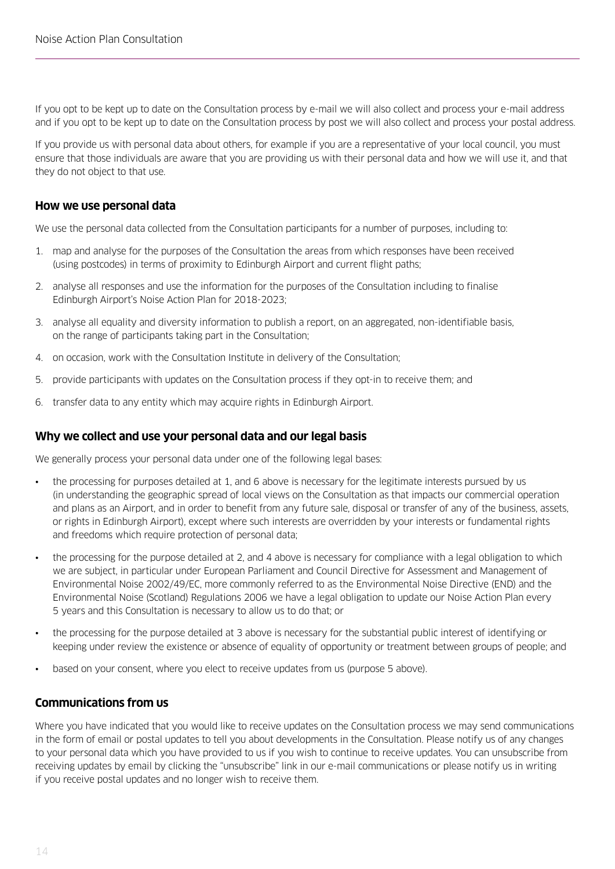If you opt to be kept up to date on the Consultation process by e-mail we will also collect and process your e-mail address and if you opt to be kept up to date on the Consultation process by post we will also collect and process your postal address.

If you provide us with personal data about others, for example if you are a representative of your local council, you must ensure that those individuals are aware that you are providing us with their personal data and how we will use it, and that they do not object to that use.

#### **How we use personal data**

We use the personal data collected from the Consultation participants for a number of purposes, including to:

- 1. map and analyse for the purposes of the Consultation the areas from which responses have been received (using postcodes) in terms of proximity to Edinburgh Airport and current flight paths;
- 2. analyse all responses and use the information for the purposes of the Consultation including to finalise Edinburgh Airport's Noise Action Plan for 2018-2023;
- 3. analyse all equality and diversity information to publish a report, on an aggregated, non-identifiable basis, on the range of participants taking part in the Consultation;
- 4. on occasion, work with the Consultation Institute in delivery of the Consultation;
- 5. provide participants with updates on the Consultation process if they opt-in to receive them; and
- 6. transfer data to any entity which may acquire rights in Edinburgh Airport.

#### **Why we collect and use your personal data and our legal basis**

We generally process your personal data under one of the following legal bases:

- the processing for purposes detailed at 1, and 6 above is necessary for the legitimate interests pursued by us (in understanding the geographic spread of local views on the Consultation as that impacts our commercial operation and plans as an Airport, and in order to benefit from any future sale, disposal or transfer of any of the business, assets, or rights in Edinburgh Airport), except where such interests are overridden by your interests or fundamental rights and freedoms which require protection of personal data;
- the processing for the purpose detailed at 2, and 4 above is necessary for compliance with a legal obligation to which we are subject, in particular under European Parliament and Council Directive for Assessment and Management of Environmental Noise 2002/49/EC, more commonly referred to as the Environmental Noise Directive (END) and the Environmental Noise (Scotland) Regulations 2006 we have a legal obligation to update our Noise Action Plan every 5 years and this Consultation is necessary to allow us to do that; or
- the processing for the purpose detailed at 3 above is necessary for the substantial public interest of identifying or keeping under review the existence or absence of equality of opportunity or treatment between groups of people; and
- based on your consent, where you elect to receive updates from us (purpose 5 above).

#### **Communications from us**

Where you have indicated that you would like to receive updates on the Consultation process we may send communications in the form of email or postal updates to tell you about developments in the Consultation. Please notify us of any changes to your personal data which you have provided to us if you wish to continue to receive updates. You can unsubscribe from receiving updates by email by clicking the "unsubscribe" link in our e-mail communications or please notify us in writing if you receive postal updates and no longer wish to receive them.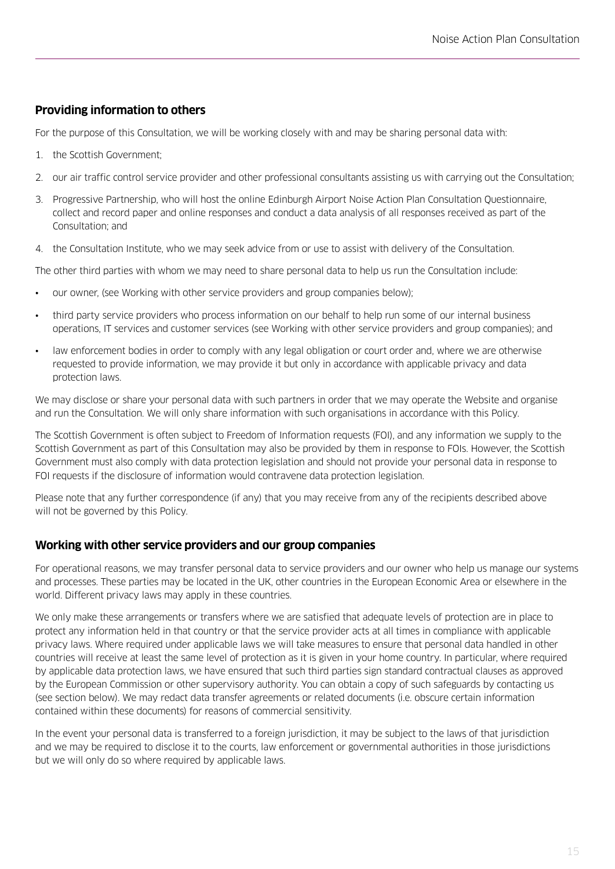# **Providing information to others**

For the purpose of this Consultation, we will be working closely with and may be sharing personal data with:

- 1. the Scottish Government;
- 2. our air traffic control service provider and other professional consultants assisting us with carrying out the Consultation;
- 3. Progressive Partnership, who will host the online Edinburgh Airport Noise Action Plan Consultation Questionnaire, collect and record paper and online responses and conduct a data analysis of all responses received as part of the Consultation; and
- 4. the Consultation Institute, who we may seek advice from or use to assist with delivery of the Consultation.

The other third parties with whom we may need to share personal data to help us run the Consultation include:

- our owner, (see Working with other service providers and group companies below);
- third party service providers who process information on our behalf to help run some of our internal business operations, IT services and customer services (see Working with other service providers and group companies); and
- law enforcement bodies in order to comply with any legal obligation or court order and, where we are otherwise requested to provide information, we may provide it but only in accordance with applicable privacy and data protection laws.

We may disclose or share your personal data with such partners in order that we may operate the Website and organise and run the Consultation. We will only share information with such organisations in accordance with this Policy.

The Scottish Government is often subject to Freedom of Information requests (FOI), and any information we supply to the Scottish Government as part of this Consultation may also be provided by them in response to FOIs. However, the Scottish Government must also comply with data protection legislation and should not provide your personal data in response to FOI requests if the disclosure of information would contravene data protection legislation.

Please note that any further correspondence (if any) that you may receive from any of the recipients described above will not be governed by this Policy.

# **Working with other service providers and our group companies**

For operational reasons, we may transfer personal data to service providers and our owner who help us manage our systems and processes. These parties may be located in the UK, other countries in the European Economic Area or elsewhere in the world. Different privacy laws may apply in these countries.

We only make these arrangements or transfers where we are satisfied that adequate levels of protection are in place to protect any information held in that country or that the service provider acts at all times in compliance with applicable privacy laws. Where required under applicable laws we will take measures to ensure that personal data handled in other countries will receive at least the same level of protection as it is given in your home country. In particular, where required by applicable data protection laws, we have ensured that such third parties sign standard contractual clauses as approved by the European Commission or other supervisory authority. You can obtain a copy of such safeguards by contacting us (see section below). We may redact data transfer agreements or related documents (i.e. obscure certain information contained within these documents) for reasons of commercial sensitivity.

In the event your personal data is transferred to a foreign jurisdiction, it may be subject to the laws of that jurisdiction and we may be required to disclose it to the courts, law enforcement or governmental authorities in those jurisdictions but we will only do so where required by applicable laws.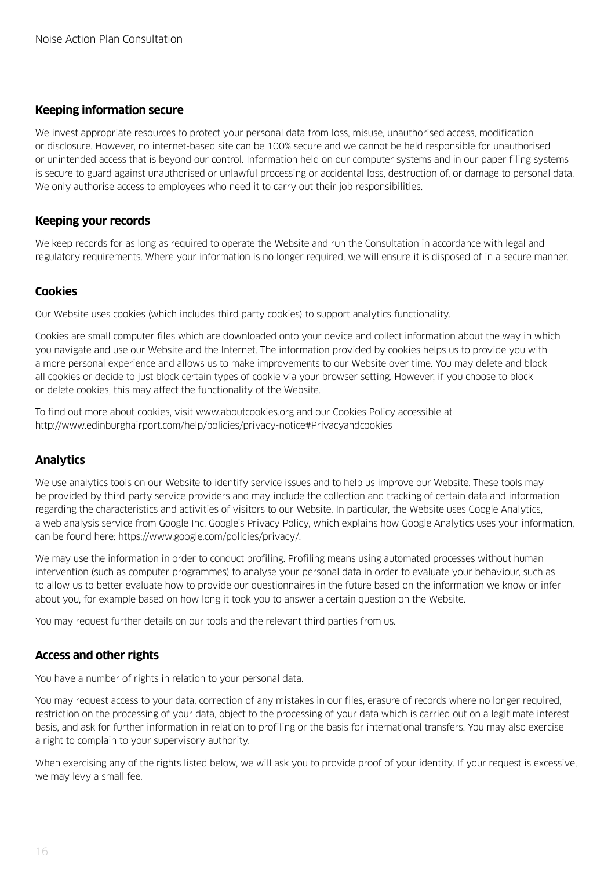## **Keeping information secure**

We invest appropriate resources to protect your personal data from loss, misuse, unauthorised access, modification or disclosure. However, no internet-based site can be 100% secure and we cannot be held responsible for unauthorised or unintended access that is beyond our control. Information held on our computer systems and in our paper filing systems is secure to guard against unauthorised or unlawful processing or accidental loss, destruction of, or damage to personal data. We only authorise access to employees who need it to carry out their job responsibilities.

## **Keeping your records**

We keep records for as long as required to operate the Website and run the Consultation in accordance with legal and regulatory requirements. Where your information is no longer required, we will ensure it is disposed of in a secure manner.

## **Cookies**

Our Website uses cookies (which includes third party cookies) to support analytics functionality.

Cookies are small computer files which are downloaded onto your device and collect information about the way in which you navigate and use our Website and the Internet. The information provided by cookies helps us to provide you with a more personal experience and allows us to make improvements to our Website over time. You may delete and block all cookies or decide to just block certain types of cookie via your browser setting. However, if you choose to block or delete cookies, this may affect the functionality of the Website.

To find out more about cookies, visit www.aboutcookies.org and our Cookies Policy accessible at http://www.edinburghairport.com/help/policies/privacy-notice#Privacyandcookies

# **Analytics**

We use analytics tools on our Website to identify service issues and to help us improve our Website. These tools may be provided by third-party service providers and may include the collection and tracking of certain data and information regarding the characteristics and activities of visitors to our Website. In particular, the Website uses Google Analytics, a web analysis service from Google Inc. Google's Privacy Policy, which explains how Google Analytics uses your information, can be found here: https://www.google.com/policies/privacy/.

We may use the information in order to conduct profiling. Profiling means using automated processes without human intervention (such as computer programmes) to analyse your personal data in order to evaluate your behaviour, such as to allow us to better evaluate how to provide our questionnaires in the future based on the information we know or infer about you, for example based on how long it took you to answer a certain question on the Website.

You may request further details on our tools and the relevant third parties from us.

#### **Access and other rights**

You have a number of rights in relation to your personal data.

You may request access to your data, correction of any mistakes in our files, erasure of records where no longer required, restriction on the processing of your data, object to the processing of your data which is carried out on a legitimate interest basis, and ask for further information in relation to profiling or the basis for international transfers. You may also exercise a right to complain to your supervisory authority.

When exercising any of the rights listed below, we will ask you to provide proof of your identity. If your request is excessive, we may levy a small fee.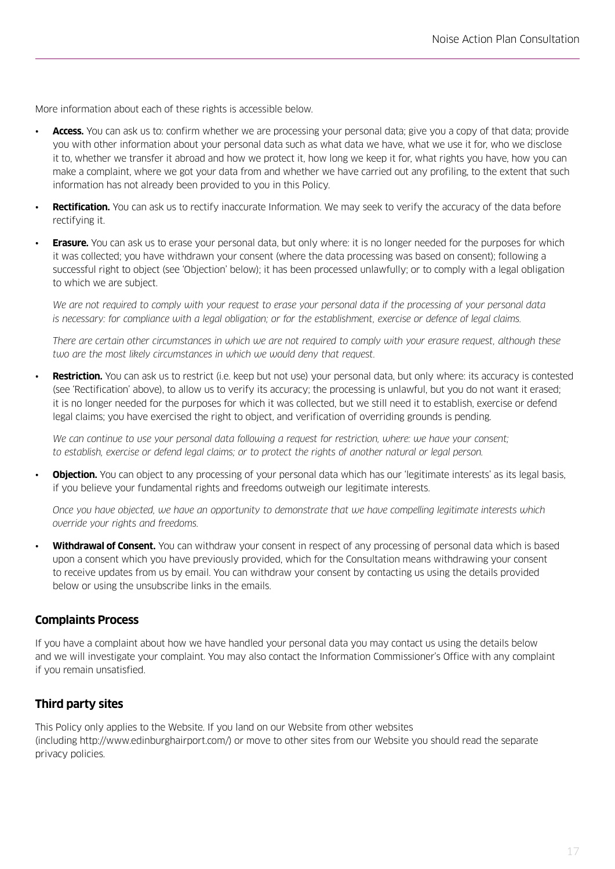More information about each of these rights is accessible below.

- **Access.** You can ask us to: confirm whether we are processing your personal data; give you a copy of that data; provide you with other information about your personal data such as what data we have, what we use it for, who we disclose it to, whether we transfer it abroad and how we protect it, how long we keep it for, what rights you have, how you can make a complaint, where we got your data from and whether we have carried out any profiling, to the extent that such information has not already been provided to you in this Policy.
- **Rectification.** You can ask us to rectify inaccurate Information. We may seek to verify the accuracy of the data before rectifying it.
- **Erasure.** You can ask us to erase your personal data, but only where: it is no longer needed for the purposes for which it was collected; you have withdrawn your consent (where the data processing was based on consent); following a successful right to object (see 'Objection' below); it has been processed unlawfully; or to comply with a legal obligation to which we are subject.

 *We are not required to comply with your request to erase your personal data if the processing of your personal data is necessary: for compliance with a legal obligation; or for the establishment, exercise or defence of legal claims.*

 *There are certain other circumstances in which we are not required to comply with your erasure request, although these two are the most likely circumstances in which we would deny that request.*

• **Restriction.** You can ask us to restrict (i.e. keep but not use) your personal data, but only where: its accuracy is contested (see 'Rectification' above), to allow us to verify its accuracy; the processing is unlawful, but you do not want it erased; it is no longer needed for the purposes for which it was collected, but we still need it to establish, exercise or defend legal claims; you have exercised the right to object, and verification of overriding grounds is pending.

 *We can continue to use your personal data following a request for restriction, where: we have your consent; to establish, exercise or defend legal claims; or to protect the rights of another natural or legal person.* 

**Objection.** You can object to any processing of your personal data which has our 'legitimate interests' as its legal basis, if you believe your fundamental rights and freedoms outweigh our legitimate interests.

 *Once you have objected, we have an opportunity to demonstrate that we have compelling legitimate interests which override your rights and freedoms.* 

• **Withdrawal of Consent.** You can withdraw your consent in respect of any processing of personal data which is based upon a consent which you have previously provided, which for the Consultation means withdrawing your consent to receive updates from us by email. You can withdraw your consent by contacting us using the details provided below or using the unsubscribe links in the emails.

#### **Complaints Process**

If you have a complaint about how we have handled your personal data you may contact us using the details below and we will investigate your complaint. You may also contact the Information Commissioner's Office with any complaint if you remain unsatisfied.

#### **Third party sites**

This Policy only applies to the Website. If you land on our Website from other websites (including http://www.edinburghairport.com/) or move to other sites from our Website you should read the separate privacy policies.